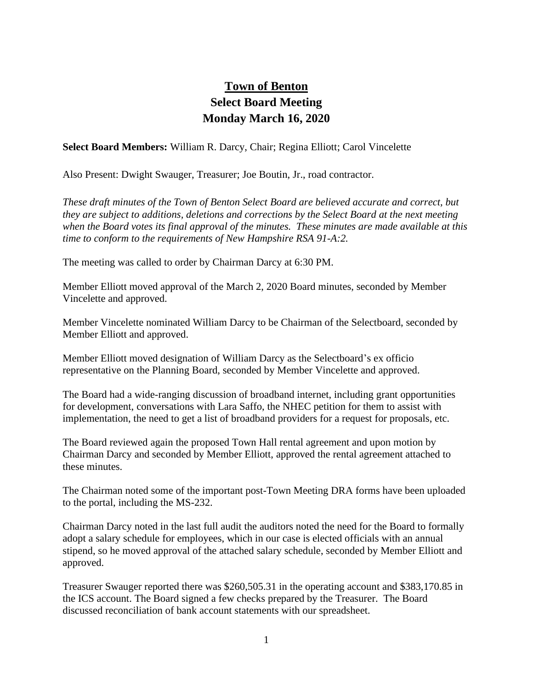## **Town of Benton Select Board Meeting Monday March 16, 2020**

**Select Board Members:** William R. Darcy, Chair; Regina Elliott; Carol Vincelette

Also Present: Dwight Swauger, Treasurer; Joe Boutin, Jr., road contractor.

*These draft minutes of the Town of Benton Select Board are believed accurate and correct, but they are subject to additions, deletions and corrections by the Select Board at the next meeting when the Board votes its final approval of the minutes. These minutes are made available at this time to conform to the requirements of New Hampshire RSA 91-A:2.*

The meeting was called to order by Chairman Darcy at 6:30 PM.

Member Elliott moved approval of the March 2, 2020 Board minutes, seconded by Member Vincelette and approved.

Member Vincelette nominated William Darcy to be Chairman of the Selectboard, seconded by Member Elliott and approved.

Member Elliott moved designation of William Darcy as the Selectboard's ex officio representative on the Planning Board, seconded by Member Vincelette and approved.

The Board had a wide-ranging discussion of broadband internet, including grant opportunities for development, conversations with Lara Saffo, the NHEC petition for them to assist with implementation, the need to get a list of broadband providers for a request for proposals, etc.

The Board reviewed again the proposed Town Hall rental agreement and upon motion by Chairman Darcy and seconded by Member Elliott, approved the rental agreement attached to these minutes.

The Chairman noted some of the important post-Town Meeting DRA forms have been uploaded to the portal, including the MS-232.

Chairman Darcy noted in the last full audit the auditors noted the need for the Board to formally adopt a salary schedule for employees, which in our case is elected officials with an annual stipend, so he moved approval of the attached salary schedule, seconded by Member Elliott and approved.

Treasurer Swauger reported there was \$260,505.31 in the operating account and \$383,170.85 in the ICS account. The Board signed a few checks prepared by the Treasurer. The Board discussed reconciliation of bank account statements with our spreadsheet.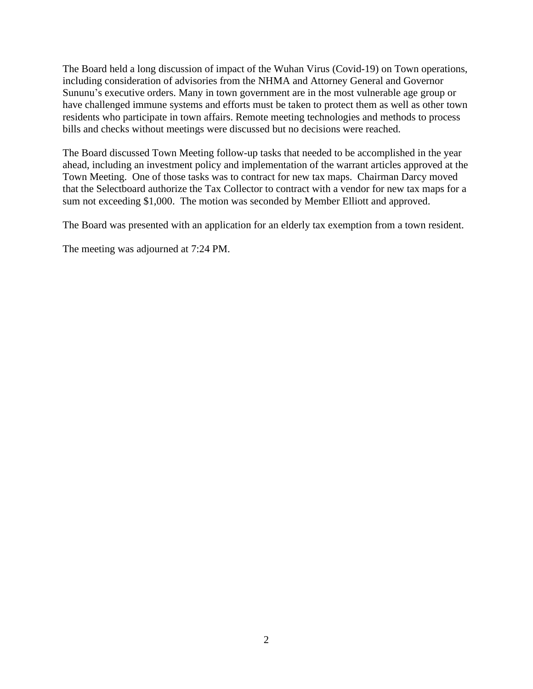The Board held a long discussion of impact of the Wuhan Virus (Covid-19) on Town operations, including consideration of advisories from the NHMA and Attorney General and Governor Sununu's executive orders. Many in town government are in the most vulnerable age group or have challenged immune systems and efforts must be taken to protect them as well as other town residents who participate in town affairs. Remote meeting technologies and methods to process bills and checks without meetings were discussed but no decisions were reached.

The Board discussed Town Meeting follow-up tasks that needed to be accomplished in the year ahead, including an investment policy and implementation of the warrant articles approved at the Town Meeting. One of those tasks was to contract for new tax maps. Chairman Darcy moved that the Selectboard authorize the Tax Collector to contract with a vendor for new tax maps for a sum not exceeding \$1,000. The motion was seconded by Member Elliott and approved.

The Board was presented with an application for an elderly tax exemption from a town resident.

The meeting was adjourned at 7:24 PM.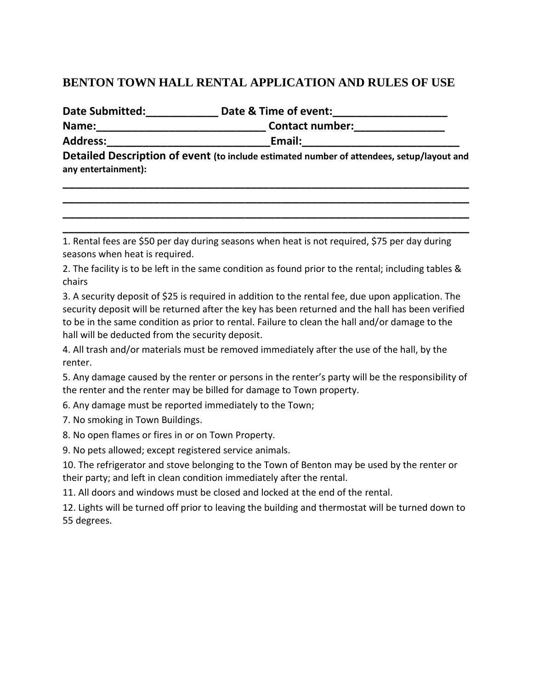## **BENTON TOWN HALL RENTAL APPLICATION AND RULES OF USE**

| <b>Date Submitted:</b> | Date & Time of event:  |  |
|------------------------|------------------------|--|
| Name:                  | <b>Contact number:</b> |  |
| <b>Address:</b>        | Email:                 |  |

**Detailed Description of event (to include estimated number of attendees, setup/layout and any entertainment):** 

**\_\_\_\_\_\_\_\_\_\_\_\_\_\_\_\_\_\_\_\_\_\_\_\_\_\_\_\_\_\_\_\_\_\_\_\_\_\_\_\_\_\_\_\_\_\_\_\_\_\_\_\_\_\_\_\_\_\_\_\_\_\_\_\_\_\_\_ \_\_\_\_\_\_\_\_\_\_\_\_\_\_\_\_\_\_\_\_\_\_\_\_\_\_\_\_\_\_\_\_\_\_\_\_\_\_\_\_\_\_\_\_\_\_\_\_\_\_\_\_\_\_\_\_\_\_\_\_\_\_\_\_\_\_\_ \_\_\_\_\_\_\_\_\_\_\_\_\_\_\_\_\_\_\_\_\_\_\_\_\_\_\_\_\_\_\_\_\_\_\_\_\_\_\_\_\_\_\_\_\_\_\_\_\_\_\_\_\_\_\_\_\_\_\_\_\_\_\_\_\_\_\_ \_\_\_\_\_\_\_\_\_\_\_\_\_\_\_\_\_\_\_\_\_\_\_\_\_\_\_\_\_\_\_\_\_\_\_\_\_\_\_\_\_\_\_\_\_\_\_\_\_\_\_\_\_\_\_\_\_\_\_\_\_\_\_\_\_\_\_** 

1. Rental fees are \$50 per day during seasons when heat is not required, \$75 per day during seasons when heat is required.

2. The facility is to be left in the same condition as found prior to the rental; including tables & chairs

3. A security deposit of \$25 is required in addition to the rental fee, due upon application. The security deposit will be returned after the key has been returned and the hall has been verified to be in the same condition as prior to rental. Failure to clean the hall and/or damage to the hall will be deducted from the security deposit.

4. All trash and/or materials must be removed immediately after the use of the hall, by the renter.

5. Any damage caused by the renter or persons in the renter's party will be the responsibility of the renter and the renter may be billed for damage to Town property.

6. Any damage must be reported immediately to the Town;

7. No smoking in Town Buildings.

8. No open flames or fires in or on Town Property.

9. No pets allowed; except registered service animals.

10. The refrigerator and stove belonging to the Town of Benton may be used by the renter or their party; and left in clean condition immediately after the rental.

11. All doors and windows must be closed and locked at the end of the rental.

12. Lights will be turned off prior to leaving the building and thermostat will be turned down to 55 degrees.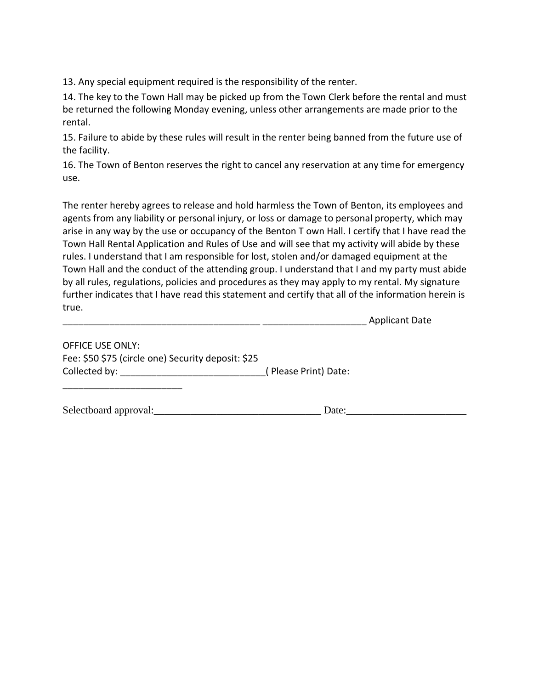13. Any special equipment required is the responsibility of the renter.

14. The key to the Town Hall may be picked up from the Town Clerk before the rental and must be returned the following Monday evening, unless other arrangements are made prior to the rental.

15. Failure to abide by these rules will result in the renter being banned from the future use of the facility.

16. The Town of Benton reserves the right to cancel any reservation at any time for emergency use.

The renter hereby agrees to release and hold harmless the Town of Benton, its employees and agents from any liability or personal injury, or loss or damage to personal property, which may arise in any way by the use or occupancy of the Benton T own Hall. I certify that I have read the Town Hall Rental Application and Rules of Use and will see that my activity will abide by these rules. I understand that I am responsible for lost, stolen and/or damaged equipment at the Town Hall and the conduct of the attending group. I understand that I and my party must abide by all rules, regulations, policies and procedures as they may apply to my rental. My signature further indicates that I have read this statement and certify that all of the information herein is true.

\_\_\_\_\_\_\_\_\_\_\_\_\_\_\_\_\_\_\_\_\_\_\_\_\_\_\_\_\_\_\_\_\_\_\_\_\_\_ \_\_\_\_\_\_\_\_\_\_\_\_\_\_\_\_\_\_\_\_ Applicant Date

| <b>OFFICE USE ONLY:</b>                            |                      |
|----------------------------------------------------|----------------------|
| Fee: \$50 \$75 (circle one) Security deposit: \$25 |                      |
| Collected by:                                      | (Please Print) Date: |

| Selectboard approval: |  |
|-----------------------|--|
|                       |  |

\_\_\_\_\_\_\_\_\_\_\_\_\_\_\_\_\_\_\_\_\_\_\_